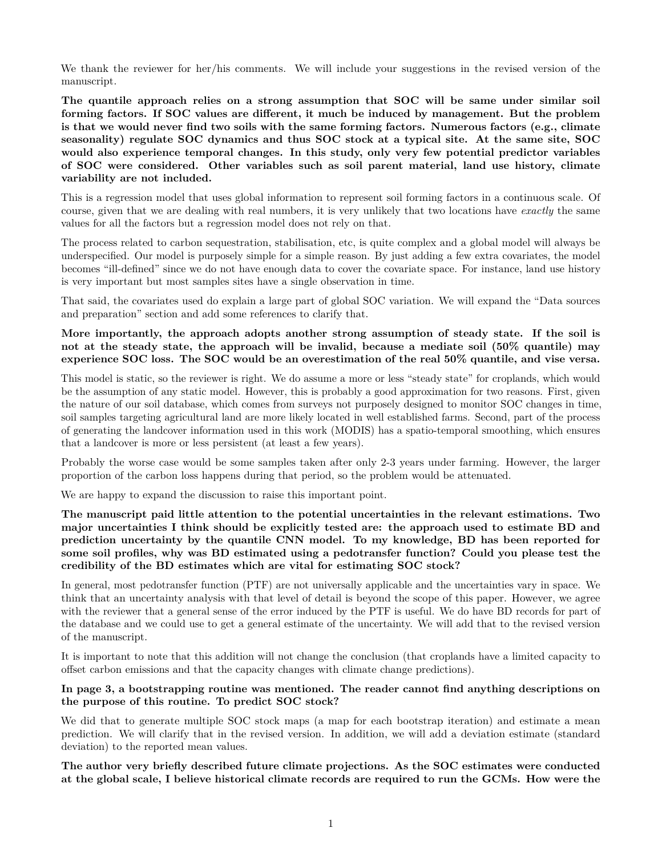We thank the reviewer for her/his comments. We will include your suggestions in the revised version of the manuscript.

**The quantile approach relies on a strong assumption that SOC will be same under similar soil forming factors. If SOC values are different, it much be induced by management. But the problem is that we would never find two soils with the same forming factors. Numerous factors (e.g., climate seasonality) regulate SOC dynamics and thus SOC stock at a typical site. At the same site, SOC would also experience temporal changes. In this study, only very few potential predictor variables of SOC were considered. Other variables such as soil parent material, land use history, climate variability are not included.**

This is a regression model that uses global information to represent soil forming factors in a continuous scale. Of course, given that we are dealing with real numbers, it is very unlikely that two locations have *exactly* the same values for all the factors but a regression model does not rely on that.

The process related to carbon sequestration, stabilisation, etc, is quite complex and a global model will always be underspecified. Our model is purposely simple for a simple reason. By just adding a few extra covariates, the model becomes "ill-defined" since we do not have enough data to cover the covariate space. For instance, land use history is very important but most samples sites have a single observation in time.

That said, the covariates used do explain a large part of global SOC variation. We will expand the "Data sources and preparation" section and add some references to clarify that.

**More importantly, the approach adopts another strong assumption of steady state. If the soil is not at the steady state, the approach will be invalid, because a mediate soil (50% quantile) may experience SOC loss. The SOC would be an overestimation of the real 50% quantile, and vise versa.**

This model is static, so the reviewer is right. We do assume a more or less "steady state" for croplands, which would be the assumption of any static model. However, this is probably a good approximation for two reasons. First, given the nature of our soil database, which comes from surveys not purposely designed to monitor SOC changes in time, soil samples targeting agricultural land are more likely located in well established farms. Second, part of the process of generating the landcover information used in this work (MODIS) has a spatio-temporal smoothing, which ensures that a landcover is more or less persistent (at least a few years).

Probably the worse case would be some samples taken after only 2-3 years under farming. However, the larger proportion of the carbon loss happens during that period, so the problem would be attenuated.

We are happy to expand the discussion to raise this important point.

**The manuscript paid little attention to the potential uncertainties in the relevant estimations. Two major uncertainties I think should be explicitly tested are: the approach used to estimate BD and prediction uncertainty by the quantile CNN model. To my knowledge, BD has been reported for some soil profiles, why was BD estimated using a pedotransfer function? Could you please test the credibility of the BD estimates which are vital for estimating SOC stock?**

In general, most pedotransfer function (PTF) are not universally applicable and the uncertainties vary in space. We think that an uncertainty analysis with that level of detail is beyond the scope of this paper. However, we agree with the reviewer that a general sense of the error induced by the PTF is useful. We do have BD records for part of the database and we could use to get a general estimate of the uncertainty. We will add that to the revised version of the manuscript.

It is important to note that this addition will not change the conclusion (that croplands have a limited capacity to offset carbon emissions and that the capacity changes with climate change predictions).

## **In page 3, a bootstrapping routine was mentioned. The reader cannot find anything descriptions on the purpose of this routine. To predict SOC stock?**

We did that to generate multiple SOC stock maps (a map for each bootstrap iteration) and estimate a mean prediction. We will clarify that in the revised version. In addition, we will add a deviation estimate (standard deviation) to the reported mean values.

**The author very briefly described future climate projections. As the SOC estimates were conducted at the global scale, I believe historical climate records are required to run the GCMs. How were the**